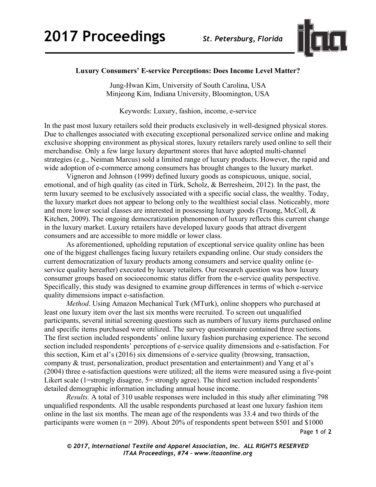

## **Luxury Consumers' E-service Perceptions: Does Income Level Matter?**

Jung-Hwan Kim, University of South Carolina, USA Minjeong Kim, Indiana University, Bloomington, USA

Keywords: Luxury, fashion, income, e-service

In the past most luxury retailers sold their products exclusively in well-designed physical stores. Due to challenges associated with executing exceptional personalized service online and making exclusive shopping environment as physical stores, luxury retailers rarely used online to sell their merchandise. Only a few large luxury department stores that have adopted multi-channel strategies (e.g., Neiman Marcus) sold a limited range of luxury products. However, the rapid and wide adoption of e-commerce among consumers has brought changes to the luxury market.

Vigneron and Johnson (1999) defined luxury goods as conspicuous, unique, social, emotional, and of high quality (as cited in Türk, Scholz, & Berresheim, 2012). In the past, the term luxury seemed to be exclusively associated with a specific social class, the wealthy. Today, the luxury market does not appear to belong only to the wealthiest social class. Noticeably, more and more lower social classes are interested in possessing luxury goods (Truong, McColl, & Kitchen, 2009). The ongoing democratization phenomenon of luxury reflects this current change in the luxury market. Luxury retailers have developed luxury goods that attract divergent consumers and are accessible to more middle or lower class.

As aforementioned, upholding reputation of exceptional service quality online has been one of the biggest challenges facing luxury retailers expanding online. Our study considers the current democratization of luxury products among consumers and service quality online (eservice quality hereafter) executed by luxury retailers. Our research question was how luxury consumer groups based on socioeconomic status differ from the e-service quality perspective. Specifically, this study was designed to examine group differences in terms of which e-service quality dimensions impact e-satisfaction.

*Method*. Using Amazon Mechanical Turk (MTurk), online shoppers who purchased at least one luxury item over the last six months were recruited. To screen out unqualified participants, several initial screening questions such as numbers of luxury items purchased online and specific items purchased were utilized. The survey questionnaire contained three sections. The first section included respondents' online luxury fashion purchasing experience. The second section included respondents' perceptions of e-service quality dimensions and e-satisfaction. For this section, Kim et al's (2016) six dimensions of e-service quality (browsing, transaction, company & trust, personalization, product presentation and entertainment) and Yang et al's (2004) three e-satisfaction questions were utilized; all the items were measured using a five-point Likert scale (1=strongly disagree, 5= strongly agree). The third section included respondents' detailed demographic information including annual house income.

*Results.* A total of 310 usable responses were included in this study after eliminating 798 unqualified respondents. All the usable respondents purchased at least one luxury fashion item online in the last six months. The mean age of the respondents was 33.4 and two thirds of the participants were women ( $n = 209$ ). About 20% of respondents spent between \$501 and \$1000

Page **1** of **2**

*© 2017, International Textile and Apparel Association, Inc. ALL RIGHTS RESERVED ITAA Proceedings, #74 – www.itaaonline.org*